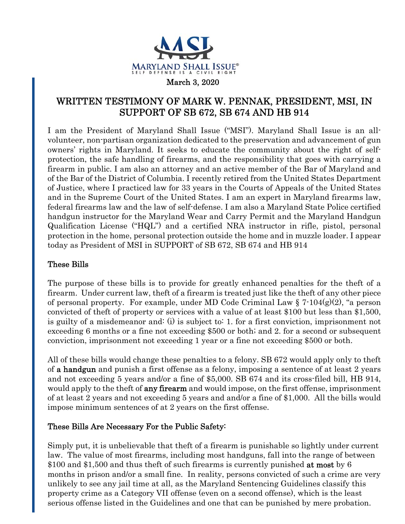

## WRITTEN TESTIMONY OF MARK W. PENNAK, PRESIDENT, MSI, IN SUPPORT OF SB 672, SB 674 AND HB 914

I am the President of Maryland Shall Issue ("MSI"). Maryland Shall Issue is an allvolunteer, non-partisan organization dedicated to the preservation and advancement of gun owners' rights in Maryland. It seeks to educate the community about the right of selfprotection, the safe handling of firearms, and the responsibility that goes with carrying a firearm in public. I am also an attorney and an active member of the Bar of Maryland and of the Bar of the District of Columbia. I recently retired from the United States Department of Justice, where I practiced law for 33 years in the Courts of Appeals of the United States and in the Supreme Court of the United States. I am an expert in Maryland firearms law, federal firearms law and the law of self-defense. I am also a Maryland State Police certified handgun instructor for the Maryland Wear and Carry Permit and the Maryland Handgun Qualification License ("HQL") and a certified NRA instructor in rifle, pistol, personal protection in the home, personal protection outside the home and in muzzle loader. I appear today as President of MSI in SUPPORT of SB 672, SB 674 and HB 914

## These Bills

The purpose of these bills is to provide for greatly enhanced penalties for the theft of a firearm. Under current law, theft of a firearm is treated just like the theft of any other piece of personal property. For example, under MD Code Criminal Law  $\S 7\text{-}104(g)(2)$ , "a person convicted of theft of property or services with a value of at least \$100 but less than \$1,500, is guilty of a misdemeanor and: (i) is subject to: 1. for a first conviction, imprisonment not exceeding 6 months or a fine not exceeding \$500 or both; and 2. for a second or subsequent conviction, imprisonment not exceeding 1 year or a fine not exceeding \$500 or both.

All of these bills would change these penalties to a felony. SB 672 would apply only to theft of a handgun and punish a first offense as a felony, imposing a sentence of at least 2 years and not exceeding 5 years and/or a fine of \$5,000. SB 674 and its cross-filed bill, HB 914, would apply to the theft of **any firearm** and would impose, on the first offense, imprisonment of at least 2 years and not exceeding 5 years and and/or a fine of \$1,000. All the bills would impose minimum sentences of at 2 years on the first offense.

## These Bills Are Necessary For the Public Safety:

Simply put, it is unbelievable that theft of a firearm is punishable so lightly under current law. The value of most firearms, including most handguns, fall into the range of between \$100 and \$1,500 and thus theft of such firearms is currently punished **at most** by 6 months in prison and/or a small fine. In reality, persons convicted of such a crime are very unlikely to see any jail time at all, as the Maryland Sentencing Guidelines classify this property crime as a Category VII offense (even on a second offense), which is the least serious offense listed in the Guidelines and one that can be punished by mere probation.